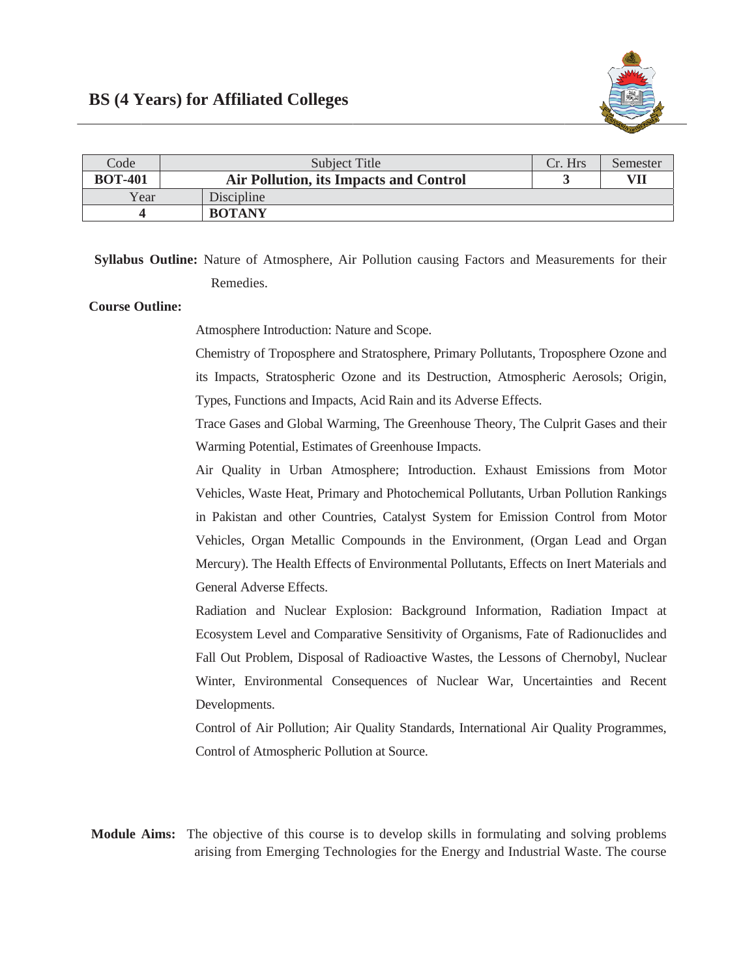

| Code           | Subject Title                          | Cr. Hrs | Semester |
|----------------|----------------------------------------|---------|----------|
| <b>BOT-401</b> | Air Pollution, its Impacts and Control |         | VII      |
| Year           | Discipline                             |         |          |
|                | <b>BOTANY</b>                          |         |          |

**Syllabus Outline:** Nature of Atmosphere, Air Pollution causing Factors and Measurements for their Remedies.

## **Course Outline:**

Atmosphere Introduction: Nature and Scope.

Chemistry of Troposphere and Stratosphere, Primary Pollutants, Troposphere Ozone and its Impacts, Stratospheric Ozone and its Destruction, Atmospheric Aerosols; Origin, Types, Functions and Impacts, Acid Rain and its Adverse Effects.

Trace Gases and Global Warming, The Greenhouse Theory, The Culprit Gases and their Warming Potential, Estimates of Greenhouse Impacts.

Air Quality in Urban Atmosphere; Introduction. Exhaust Emissions from Motor Vehicles, Waste Heat, Primary and Photochemical Pollutants, Urban Pollution Rankings in Pakistan and other Countries, Catalyst System for Emission Control from Motor Vehicles, Organ Metallic Compounds in the Environment, (Organ Lead and Organ Mercury). The Health Effects of Environmental Pollutants, Effects on Inert Materials and General Adverse Effects.

Radiation and Nuclear Explosion: Background Information, Radiation Impact at Ecosystem Level and Comparative Sensitivity of Organisms, Fate of Radionuclides and Fall Out Problem, Disposal of Radioactive Wastes, the Lessons of Chernobyl, Nuclear Winter, Environmental Consequences of Nuclear War, Uncertainties and Recent Developments.

Control of Air Pollution; Air Quality Standards, International Air Quality Programmes, Control of Atmospheric Pollution at Source.

Module Aims: The objective of this course is to develop skills in formulating and solving problems arising from Emerging Technologies for the Energy and Industrial Waste. The course